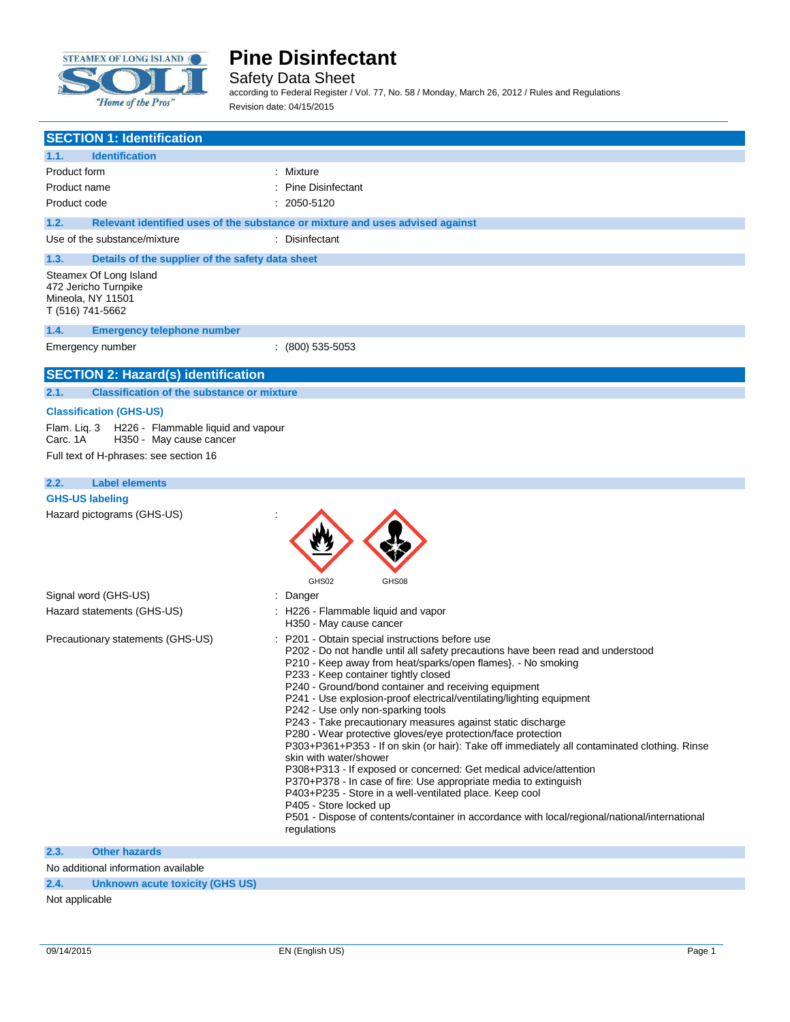

 $\overline{\phantom{a}}$ 

## **Pine Disinfectant**

Safety Data Sheet

according to Federal Register / Vol. 77, No. 58 / Monday, March 26, 2012 / Rules and Regulations Revision date: 04/15/2015

| <b>SECTION 1: Identification</b>                                                                                                                                      |                                                                                                                                                                                                                                                                                                                                                                                                                                                                                                                                                                                                                                                                                                                                                                                                                                                                                                                                                                                                                         |
|-----------------------------------------------------------------------------------------------------------------------------------------------------------------------|-------------------------------------------------------------------------------------------------------------------------------------------------------------------------------------------------------------------------------------------------------------------------------------------------------------------------------------------------------------------------------------------------------------------------------------------------------------------------------------------------------------------------------------------------------------------------------------------------------------------------------------------------------------------------------------------------------------------------------------------------------------------------------------------------------------------------------------------------------------------------------------------------------------------------------------------------------------------------------------------------------------------------|
|                                                                                                                                                                       |                                                                                                                                                                                                                                                                                                                                                                                                                                                                                                                                                                                                                                                                                                                                                                                                                                                                                                                                                                                                                         |
| 1.1.<br><b>Identification</b>                                                                                                                                         |                                                                                                                                                                                                                                                                                                                                                                                                                                                                                                                                                                                                                                                                                                                                                                                                                                                                                                                                                                                                                         |
| Product form                                                                                                                                                          | : Mixture                                                                                                                                                                                                                                                                                                                                                                                                                                                                                                                                                                                                                                                                                                                                                                                                                                                                                                                                                                                                               |
| Product name                                                                                                                                                          | : Pine Disinfectant                                                                                                                                                                                                                                                                                                                                                                                                                                                                                                                                                                                                                                                                                                                                                                                                                                                                                                                                                                                                     |
| Product code                                                                                                                                                          | $: 2050 - 5120$                                                                                                                                                                                                                                                                                                                                                                                                                                                                                                                                                                                                                                                                                                                                                                                                                                                                                                                                                                                                         |
| 1.2.                                                                                                                                                                  | Relevant identified uses of the substance or mixture and uses advised against                                                                                                                                                                                                                                                                                                                                                                                                                                                                                                                                                                                                                                                                                                                                                                                                                                                                                                                                           |
| Use of the substance/mixture                                                                                                                                          | : Disinfectant                                                                                                                                                                                                                                                                                                                                                                                                                                                                                                                                                                                                                                                                                                                                                                                                                                                                                                                                                                                                          |
| 1.3.<br>Details of the supplier of the safety data sheet                                                                                                              |                                                                                                                                                                                                                                                                                                                                                                                                                                                                                                                                                                                                                                                                                                                                                                                                                                                                                                                                                                                                                         |
| Steamex Of Long Island<br>472 Jericho Turnpike<br>Mineola, NY 11501<br>T (516) 741-5662                                                                               |                                                                                                                                                                                                                                                                                                                                                                                                                                                                                                                                                                                                                                                                                                                                                                                                                                                                                                                                                                                                                         |
| 1.4.<br><b>Emergency telephone number</b>                                                                                                                             |                                                                                                                                                                                                                                                                                                                                                                                                                                                                                                                                                                                                                                                                                                                                                                                                                                                                                                                                                                                                                         |
| Emergency number                                                                                                                                                      | $(800)$ 535-5053                                                                                                                                                                                                                                                                                                                                                                                                                                                                                                                                                                                                                                                                                                                                                                                                                                                                                                                                                                                                        |
| <b>SECTION 2: Hazard(s) identification</b>                                                                                                                            |                                                                                                                                                                                                                                                                                                                                                                                                                                                                                                                                                                                                                                                                                                                                                                                                                                                                                                                                                                                                                         |
| <b>Classification of the substance or mixture</b><br>2.1.                                                                                                             |                                                                                                                                                                                                                                                                                                                                                                                                                                                                                                                                                                                                                                                                                                                                                                                                                                                                                                                                                                                                                         |
| <b>Classification (GHS-US)</b><br>Flam. Liq. 3<br>H226 - Flammable liquid and vapour<br>Carc. 1A<br>H350 - May cause cancer<br>Full text of H-phrases: see section 16 |                                                                                                                                                                                                                                                                                                                                                                                                                                                                                                                                                                                                                                                                                                                                                                                                                                                                                                                                                                                                                         |
| <b>Label elements</b><br>2.2.                                                                                                                                         |                                                                                                                                                                                                                                                                                                                                                                                                                                                                                                                                                                                                                                                                                                                                                                                                                                                                                                                                                                                                                         |
| <b>GHS-US labeling</b>                                                                                                                                                |                                                                                                                                                                                                                                                                                                                                                                                                                                                                                                                                                                                                                                                                                                                                                                                                                                                                                                                                                                                                                         |
| Hazard pictograms (GHS-US)                                                                                                                                            | GHS02<br>GHS08                                                                                                                                                                                                                                                                                                                                                                                                                                                                                                                                                                                                                                                                                                                                                                                                                                                                                                                                                                                                          |
| Signal word (GHS-US)                                                                                                                                                  | : Danger                                                                                                                                                                                                                                                                                                                                                                                                                                                                                                                                                                                                                                                                                                                                                                                                                                                                                                                                                                                                                |
| Hazard statements (GHS-US)                                                                                                                                            | : H226 - Flammable liquid and vapor<br>H350 - May cause cancer                                                                                                                                                                                                                                                                                                                                                                                                                                                                                                                                                                                                                                                                                                                                                                                                                                                                                                                                                          |
| Precautionary statements (GHS-US)                                                                                                                                     | : P201 - Obtain special instructions before use<br>P202 - Do not handle until all safety precautions have been read and understood<br>P210 - Keep away from heat/sparks/open flames}. - No smoking<br>P233 - Keep container tightly closed<br>P240 - Ground/bond container and receiving equipment<br>P241 - Use explosion-proof electrical/ventilating/lighting equipment<br>P242 - Use only non-sparking tools<br>P243 - Take precautionary measures against static discharge<br>P280 - Wear protective gloves/eye protection/face protection<br>P303+P361+P353 - If on skin (or hair): Take off immediately all contaminated clothing. Rinse<br>skin with water/shower<br>P308+P313 - If exposed or concerned: Get medical advice/attention<br>P370+P378 - In case of fire: Use appropriate media to extinguish<br>P403+P235 - Store in a well-ventilated place. Keep cool<br>P405 - Store locked up<br>P501 - Dispose of contents/container in accordance with local/regional/national/international<br>regulations |
| <b>Other hazards</b><br>2.3.                                                                                                                                          |                                                                                                                                                                                                                                                                                                                                                                                                                                                                                                                                                                                                                                                                                                                                                                                                                                                                                                                                                                                                                         |
| No additional information available                                                                                                                                   |                                                                                                                                                                                                                                                                                                                                                                                                                                                                                                                                                                                                                                                                                                                                                                                                                                                                                                                                                                                                                         |

**2.4. Unknown acute toxicity (GHS US)**

Not applicable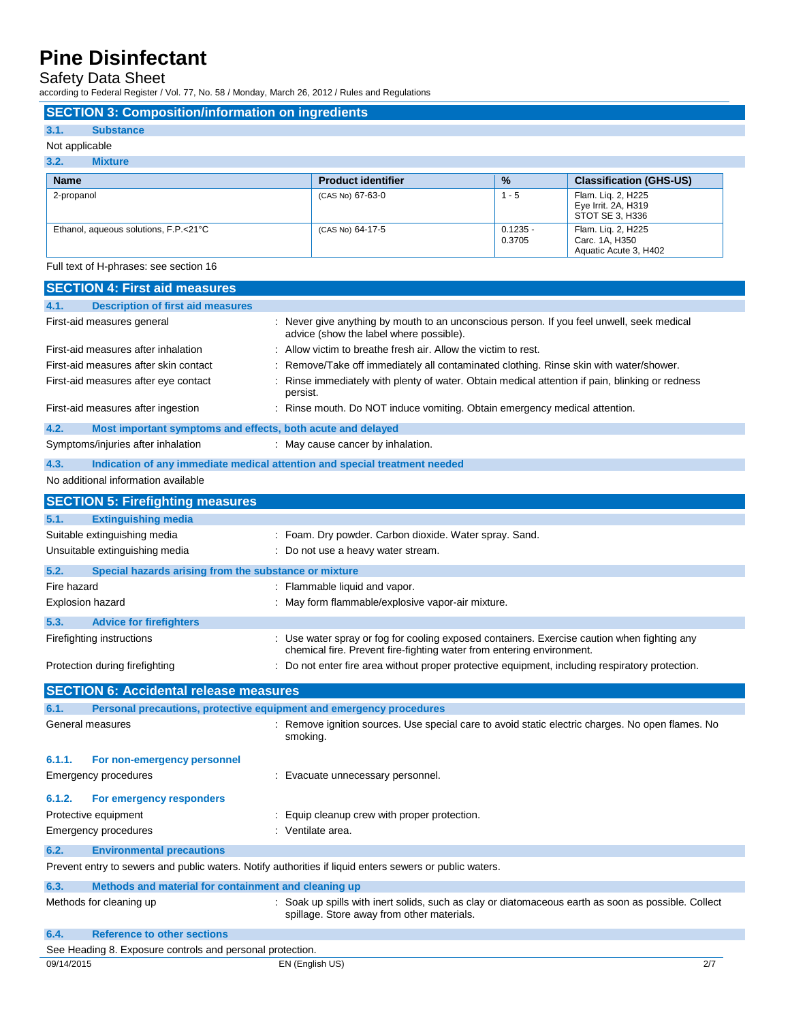Safety Data Sheet

according to Federal Register / Vol. 77, No. 58 / Monday, March 26, 2012 / Rules and Regulations

| 3.1.<br><b>Substance</b>                         |                           |                      |                                                               |
|--------------------------------------------------|---------------------------|----------------------|---------------------------------------------------------------|
| Not applicable                                   |                           |                      |                                                               |
| 3.2.<br><b>Mixture</b>                           |                           |                      |                                                               |
| <b>Name</b>                                      | <b>Product identifier</b> | $\frac{9}{6}$        | <b>Classification (GHS-US)</b>                                |
| 2-propanol                                       | (CAS No) 67-63-0          | $1 - 5$              | Flam. Liq. 2, H225<br>Eye Irrit. 2A, H319<br>STOT SE 3, H336  |
| Ethanol, aqueous solutions, F.P.<21°C            | (CAS No) 64-17-5          | $0.1235 -$<br>0.3705 | Flam. Liq. 2, H225<br>Carc. 1A, H350<br>Aquatic Acute 3, H402 |
| Full text of H-phrases: see section 16           |                           |                      |                                                               |
| <b>SECTION 4: First aid measures</b>             |                           |                      |                                                               |
| 4.1.<br><b>Description of first aid measures</b> |                           |                      |                                                               |

| 4.1.                                | <b>Description of first aid measures</b>                            |                                                                                                                                                                      |
|-------------------------------------|---------------------------------------------------------------------|----------------------------------------------------------------------------------------------------------------------------------------------------------------------|
|                                     | First-aid measures general                                          | : Never give anything by mouth to an unconscious person. If you feel unwell, seek medical<br>advice (show the label where possible).                                 |
| First-aid measures after inhalation |                                                                     | Allow victim to breathe fresh air. Allow the victim to rest.                                                                                                         |
|                                     | First-aid measures after skin contact                               | Remove/Take off immediately all contaminated clothing. Rinse skin with water/shower.                                                                                 |
|                                     | First-aid measures after eye contact                                | Rinse immediately with plenty of water. Obtain medical attention if pain, blinking or redness<br>persist.                                                            |
|                                     | First-aid measures after ingestion                                  | : Rinse mouth. Do NOT induce vomiting. Obtain emergency medical attention.                                                                                           |
| 4.2.                                | Most important symptoms and effects, both acute and delayed         |                                                                                                                                                                      |
|                                     | Symptoms/injuries after inhalation                                  | : May cause cancer by inhalation.                                                                                                                                    |
| 4.3.                                |                                                                     | Indication of any immediate medical attention and special treatment needed                                                                                           |
|                                     | No additional information available                                 |                                                                                                                                                                      |
|                                     | <b>SECTION 5: Firefighting measures</b>                             |                                                                                                                                                                      |
| 5.1.                                | <b>Extinguishing media</b>                                          |                                                                                                                                                                      |
|                                     | Suitable extinguishing media                                        | : Foam. Dry powder. Carbon dioxide. Water spray. Sand.                                                                                                               |
|                                     | Unsuitable extinguishing media                                      | : Do not use a heavy water stream.                                                                                                                                   |
| 5.2.                                | Special hazards arising from the substance or mixture               |                                                                                                                                                                      |
| Fire hazard                         |                                                                     | : Flammable liquid and vapor.                                                                                                                                        |
|                                     | <b>Explosion hazard</b>                                             | : May form flammable/explosive vapor-air mixture.                                                                                                                    |
| 5.3.                                | <b>Advice for firefighters</b>                                      |                                                                                                                                                                      |
|                                     | Firefighting instructions                                           | : Use water spray or fog for cooling exposed containers. Exercise caution when fighting any<br>chemical fire. Prevent fire-fighting water from entering environment. |
|                                     | Protection during firefighting                                      | Do not enter fire area without proper protective equipment, including respiratory protection.                                                                        |
|                                     | <b>SECTION 6: Accidental release measures</b>                       |                                                                                                                                                                      |
| 6.1.                                | Personal precautions, protective equipment and emergency procedures |                                                                                                                                                                      |
|                                     | General measures                                                    | : Remove ignition sources. Use special care to avoid static electric charges. No open flames. No<br>smoking.                                                         |
| 6.1.1.                              | For non-emergency personnel                                         |                                                                                                                                                                      |
|                                     | <b>Emergency procedures</b>                                         | : Evacuate unnecessary personnel.                                                                                                                                    |
| 6.1.2.                              | For emergency responders                                            |                                                                                                                                                                      |
|                                     | Protective equipment                                                | : Equip cleanup crew with proper protection.                                                                                                                         |
|                                     | <b>Emergency procedures</b>                                         | : Ventilate area.                                                                                                                                                    |
| 6.2.                                | <b>Environmental precautions</b>                                    |                                                                                                                                                                      |
|                                     |                                                                     | Prevent entry to sewers and public waters. Notify authorities if liquid enters sewers or public waters.                                                              |
| 6.3.                                | Methods and material for containment and cleaning up                |                                                                                                                                                                      |
|                                     | Methods for cleaning up                                             | : Soak up spills with inert solids, such as clay or diatomaceous earth as soon as possible. Collect<br>spillage. Store away from other materials.                    |
| 6.4.                                | <b>Reference to other sections</b>                                  |                                                                                                                                                                      |
|                                     | See Heading 8. Exposure controls and personal protection.           |                                                                                                                                                                      |
| 09/14/2015                          |                                                                     | 2/7<br>EN (English US)                                                                                                                                               |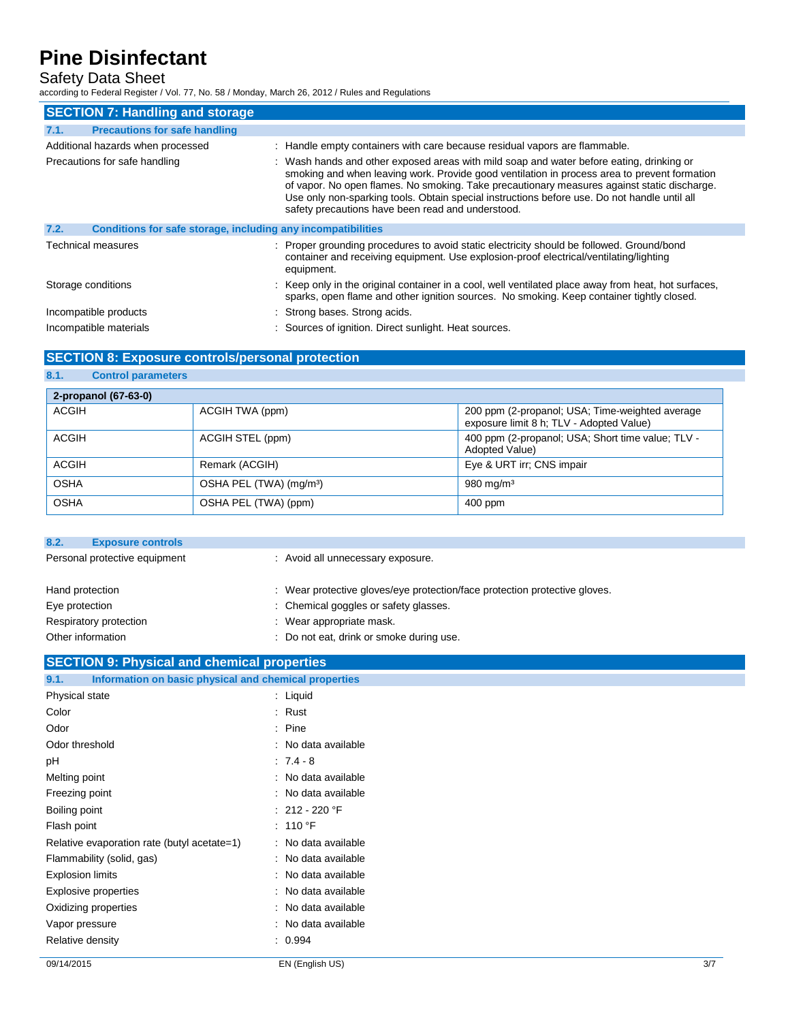## Safety Data Sheet

**8.1. Control parameters**

according to Federal Register / Vol. 77, No. 58 / Monday, March 26, 2012 / Rules and Regulations

| <b>SECTION 7: Handling and storage</b>                               |                                                                                                                                                                                                                                                                                                                                                                                                                                              |  |
|----------------------------------------------------------------------|----------------------------------------------------------------------------------------------------------------------------------------------------------------------------------------------------------------------------------------------------------------------------------------------------------------------------------------------------------------------------------------------------------------------------------------------|--|
| <b>Precautions for safe handling</b><br>7.1.                         |                                                                                                                                                                                                                                                                                                                                                                                                                                              |  |
| Additional hazards when processed                                    | : Handle empty containers with care because residual vapors are flammable.                                                                                                                                                                                                                                                                                                                                                                   |  |
| Precautions for safe handling                                        | : Wash hands and other exposed areas with mild soap and water before eating, drinking or<br>smoking and when leaving work. Provide good ventilation in process area to prevent formation<br>of vapor. No open flames. No smoking. Take precautionary measures against static discharge.<br>Use only non-sparking tools. Obtain special instructions before use. Do not handle until all<br>safety precautions have been read and understood. |  |
| 7.2.<br>Conditions for safe storage, including any incompatibilities |                                                                                                                                                                                                                                                                                                                                                                                                                                              |  |
| <b>Technical measures</b>                                            | : Proper grounding procedures to avoid static electricity should be followed. Ground/bond<br>container and receiving equipment. Use explosion-proof electrical/ventilating/lighting<br>equipment.                                                                                                                                                                                                                                            |  |
| Storage conditions                                                   | : Keep only in the original container in a cool, well ventilated place away from heat, hot surfaces,<br>sparks, open flame and other ignition sources. No smoking. Keep container tightly closed.                                                                                                                                                                                                                                            |  |
| Incompatible products                                                | : Strong bases. Strong acids.                                                                                                                                                                                                                                                                                                                                                                                                                |  |
| Incompatible materials                                               | : Sources of ignition. Direct sunlight. Heat sources.                                                                                                                                                                                                                                                                                                                                                                                        |  |

### **SECTION 8: Exposure controls/personal protection**

| 2-propanol (67-63-0) |                                     |                                                                                             |
|----------------------|-------------------------------------|---------------------------------------------------------------------------------------------|
| <b>ACGIH</b>         | ACGIH TWA (ppm)                     | 200 ppm (2-propanol; USA; Time-weighted average<br>exposure limit 8 h; TLV - Adopted Value) |
| <b>ACGIH</b>         | ACGIH STEL (ppm)                    | 400 ppm (2-propanol; USA; Short time value; TLV -<br>Adopted Value)                         |
| <b>ACGIH</b>         | Remark (ACGIH)                      | Eye & URT irr; CNS impair                                                                   |
| <b>OSHA</b>          | OSHA PEL (TWA) (mg/m <sup>3</sup> ) | 980 mg/m $3$                                                                                |
| <b>OSHA</b>          | OSHA PEL (TWA) (ppm)                | 400 ppm                                                                                     |

| 8.2.                          | <b>Exposure controls</b> |                                                                            |
|-------------------------------|--------------------------|----------------------------------------------------------------------------|
| Personal protective equipment |                          | : Avoid all unnecessary exposure.                                          |
|                               |                          |                                                                            |
| Hand protection               |                          | : Wear protective gloves/eye protection/face protection protective gloves. |
| Eye protection                |                          | : Chemical goggles or safety glasses.                                      |
|                               | Respiratory protection   | : Wear appropriate mask.                                                   |
| Other information             |                          | : Do not eat, drink or smoke during use.                                   |
|                               |                          |                                                                            |

## **SECTION 9: Physical and chemical properties**

| Information on basic physical and chemical properties<br>9.1. |                     |     |
|---------------------------------------------------------------|---------------------|-----|
| Physical state                                                | : Liquid            |     |
| Color                                                         | : Rust              |     |
| Odor                                                          | $:$ Pine            |     |
| Odor threshold                                                | : No data available |     |
| рH                                                            | $.7.4 - 8$          |     |
| Melting point                                                 | : No data available |     |
| Freezing point                                                | : No data available |     |
| Boiling point                                                 | $: 212 - 220$ °F    |     |
| Flash point                                                   | : 110 °F            |     |
| Relative evaporation rate (butyl acetate=1)                   | : No data available |     |
| Flammability (solid, gas)                                     | : No data available |     |
| <b>Explosion limits</b>                                       | : No data available |     |
| Explosive properties                                          | : No data available |     |
| Oxidizing properties                                          | : No data available |     |
| Vapor pressure                                                | : No data available |     |
| Relative density                                              | . 0.994             |     |
| 09/14/2015                                                    | EN (English US)     | 3/7 |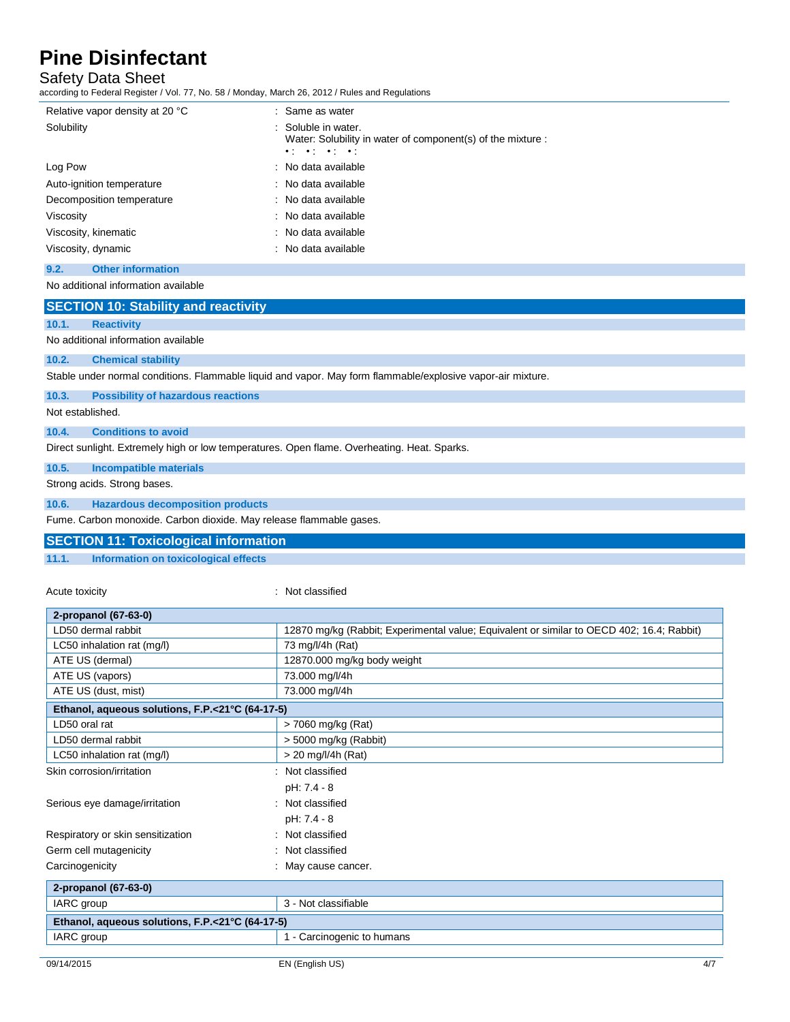### Safety Data Sheet

according to Federal Register / Vol. 77, No. 58 / Monday, March 26, 2012 / Rules and Regulations

| Relative vapor density at 20 °C | : Same as water                                                                                                                       |
|---------------------------------|---------------------------------------------------------------------------------------------------------------------------------------|
| Solubility                      | : Soluble in water.<br>Water: Solubility in water of component(s) of the mixture :<br>$\bullet$ , $\bullet$ , $\bullet$ , $\bullet$ , |
| Log Pow                         | : No data available                                                                                                                   |
| Auto-ignition temperature       | : No data available                                                                                                                   |
| Decomposition temperature       | : No data available                                                                                                                   |
| Viscosity                       | : No data available                                                                                                                   |
| Viscosity, kinematic            | : No data available                                                                                                                   |
| Viscosity, dynamic              | : No data available                                                                                                                   |
|                                 |                                                                                                                                       |

### **9.2. Other information**

No additional information available

|                  | <b>SECTION 10: Stability and reactivity</b>                                                                 |  |
|------------------|-------------------------------------------------------------------------------------------------------------|--|
| 10.1.            | <b>Reactivity</b>                                                                                           |  |
|                  | No additional information available                                                                         |  |
| 10.2.            | <b>Chemical stability</b>                                                                                   |  |
|                  | Stable under normal conditions. Flammable liquid and vapor. May form flammable/explosive vapor-air mixture. |  |
| 10.3.            | <b>Possibility of hazardous reactions</b>                                                                   |  |
| Not established. |                                                                                                             |  |
| 10.4.            | <b>Conditions to avoid</b>                                                                                  |  |
|                  | Direct sunlight. Extremely high or low temperatures. Open flame. Overheating. Heat. Sparks.                 |  |
| 10.5.            | <b>Incompatible materials</b>                                                                               |  |

#### Strong acids. Strong bases.

**10.6. Hazardous decomposition products**

Fume. Carbon monoxide. Carbon dioxide. May release flammable gases.

|       | <b>SECTION 11: Toxicological information</b> |  |
|-------|----------------------------------------------|--|
| 11.1. | <b>Information on toxicological effects</b>  |  |

### Acute toxicity **in the case of the contract of the contract of the contract of the contract of the contract of the contract of the contract of the contract of the contract of the contract of the contract of the contract of**

| 2-propanol (67-63-0)                            |                                                                                           |  |
|-------------------------------------------------|-------------------------------------------------------------------------------------------|--|
| LD50 dermal rabbit                              | 12870 mg/kg (Rabbit; Experimental value; Equivalent or similar to OECD 402; 16.4; Rabbit) |  |
| LC50 inhalation rat (mg/l)                      | 73 mg/l/4h (Rat)                                                                          |  |
| ATE US (dermal)                                 | 12870.000 mg/kg body weight                                                               |  |
| ATE US (vapors)                                 | 73.000 mg/l/4h                                                                            |  |
| ATE US (dust, mist)                             | 73.000 mg/l/4h                                                                            |  |
| Ethanol, aqueous solutions, F.P.<21°C (64-17-5) |                                                                                           |  |
| LD50 oral rat                                   | > 7060 mg/kg (Rat)                                                                        |  |
| LD50 dermal rabbit                              | > 5000 mg/kg (Rabbit)                                                                     |  |
| LC50 inhalation rat (mg/l)                      | $>$ 20 mg/l/4h (Rat)                                                                      |  |
| Skin corrosion/irritation                       | Not classified                                                                            |  |
|                                                 | pH: 7.4 - 8                                                                               |  |
| Serious eye damage/irritation                   | Not classified                                                                            |  |
|                                                 | pH: 7.4 - 8                                                                               |  |
| Respiratory or skin sensitization               | Not classified                                                                            |  |
| Germ cell mutagenicity                          | Not classified                                                                            |  |
| Carcinogenicity                                 | May cause cancer.                                                                         |  |
| 2-propanol (67-63-0)                            |                                                                                           |  |
| IARC group                                      | 3 - Not classifiable                                                                      |  |
| Ethanol, aqueous solutions, F.P.<21°C (64-17-5) |                                                                                           |  |
| IARC group                                      | 1 - Carcinogenic to humans                                                                |  |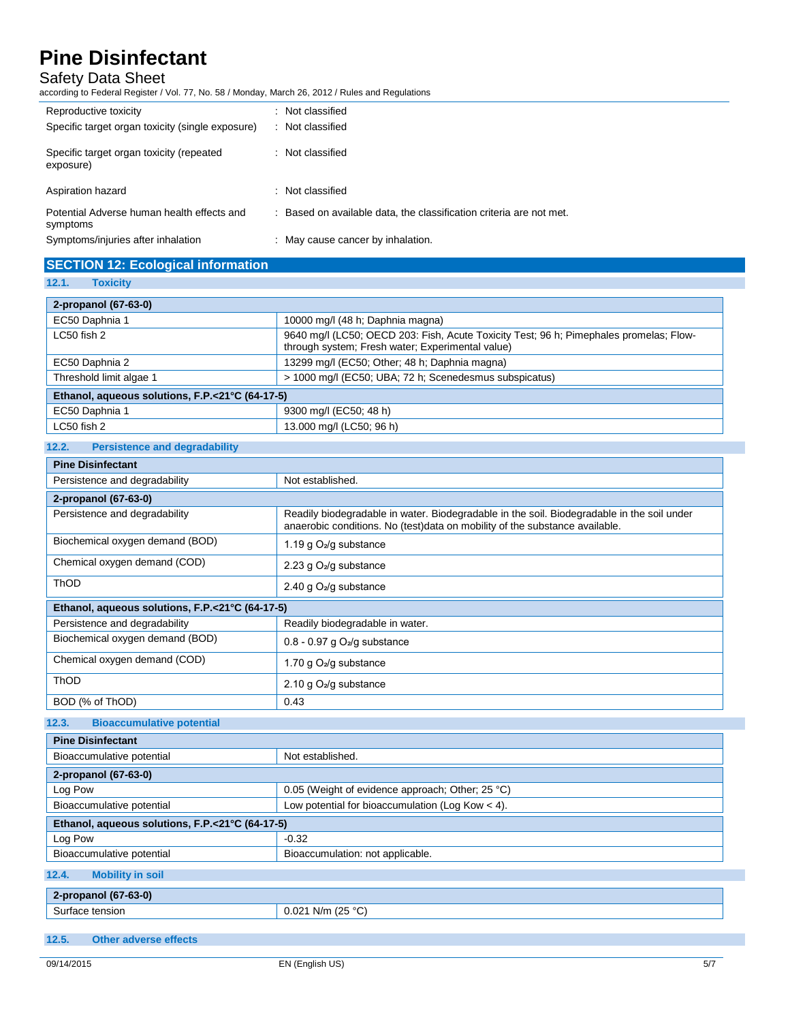## Safety Data Sheet

according to Federal Register / Vol. 77, No. 58 / Monday, March 26, 2012 / Rules and Regulations

| Reproductive toxicity                                  | : Not classified                                                    |
|--------------------------------------------------------|---------------------------------------------------------------------|
| Specific target organ toxicity (single exposure)       | : Not classified                                                    |
| Specific target organ toxicity (repeated<br>exposure)  | : Not classified                                                    |
| Aspiration hazard                                      | : Not classified                                                    |
| Potential Adverse human health effects and<br>symptoms | : Based on available data, the classification criteria are not met. |
| Symptoms/injuries after inhalation                     | : May cause cancer by inhalation.                                   |

## **SECTION 12: Ecological information**

**12.1. Toxicity**

| 2-propanol (67-63-0)                            |                                                                                                                                            |  |
|-------------------------------------------------|--------------------------------------------------------------------------------------------------------------------------------------------|--|
| EC50 Daphnia 1                                  | 10000 mg/l (48 h; Daphnia magna)                                                                                                           |  |
| LC50 fish 2                                     | 9640 mg/l (LC50; OECD 203: Fish, Acute Toxicity Test; 96 h; Pimephales promelas; Flow-<br>through system; Fresh water; Experimental value) |  |
| EC50 Daphnia 2                                  | 13299 mg/l (EC50; Other; 48 h; Daphnia magna)                                                                                              |  |
| Threshold limit algae 1                         | > 1000 mg/l (EC50; UBA; 72 h; Scenedesmus subspicatus)                                                                                     |  |
| Ethanol, aqueous solutions, F.P.<21°C (64-17-5) |                                                                                                                                            |  |
| EC50 Daphnia 1                                  | 9300 mg/l (EC50; 48 h)                                                                                                                     |  |
| LC50 fish 2                                     | 13.000 mg/l (LC50; 96 h)                                                                                                                   |  |

### **12.2. Persistence and degradability**

| <b>Pine Disinfectant</b>                        |                                                                                                                                                                           |  |
|-------------------------------------------------|---------------------------------------------------------------------------------------------------------------------------------------------------------------------------|--|
| Persistence and degradability                   | Not established.                                                                                                                                                          |  |
| 2-propanol (67-63-0)                            |                                                                                                                                                                           |  |
| Persistence and degradability                   | Readily biodegradable in water. Biodegradable in the soil. Biodegradable in the soil under<br>anaerobic conditions. No (test)data on mobility of the substance available. |  |
| Biochemical oxygen demand (BOD)                 | 1.19 g $O_2$ /g substance                                                                                                                                                 |  |
| Chemical oxygen demand (COD)                    | 2.23 g $O_2$ /g substance                                                                                                                                                 |  |
| <b>ThOD</b>                                     | 2.40 g $O_2$ /g substance                                                                                                                                                 |  |
| Ethanol, aqueous solutions, F.P.<21°C (64-17-5) |                                                                                                                                                                           |  |
| Persistence and degradability                   | Readily biodegradable in water.                                                                                                                                           |  |
| Biochemical oxygen demand (BOD)                 | $0.8 - 0.97$ g O <sub>2</sub> /g substance                                                                                                                                |  |
| Chemical oxygen demand (COD)                    | 1.70 g $O_2$ /g substance                                                                                                                                                 |  |
| <b>ThOD</b>                                     | 2.10 g $O_2$ /g substance                                                                                                                                                 |  |
| BOD (% of ThOD)                                 | 0.43                                                                                                                                                                      |  |

### **12.3. Bioaccumulative potential**

| <b>Pine Disinfectant</b>                        |                                                    |  |
|-------------------------------------------------|----------------------------------------------------|--|
| Bioaccumulative potential                       | Not established.                                   |  |
| 2-propanol (67-63-0)                            |                                                    |  |
| Log Pow                                         | 0.05 (Weight of evidence approach; Other; 25 °C)   |  |
| Bioaccumulative potential                       | Low potential for bioaccumulation (Log Kow $<$ 4). |  |
| Ethanol, aqueous solutions, F.P.<21°C (64-17-5) |                                                    |  |
| Log Pow                                         | $-0.32$                                            |  |
| Bioaccumulative potential                       | Bioaccumulation: not applicable.                   |  |
| 12.4.<br><b>Mobility in soil</b>                |                                                    |  |
| 2-propanol (67-63-0)                            |                                                    |  |
| Surface tension                                 | $0.021$ N/m (25 °C)                                |  |

**12.5. Other adverse effects**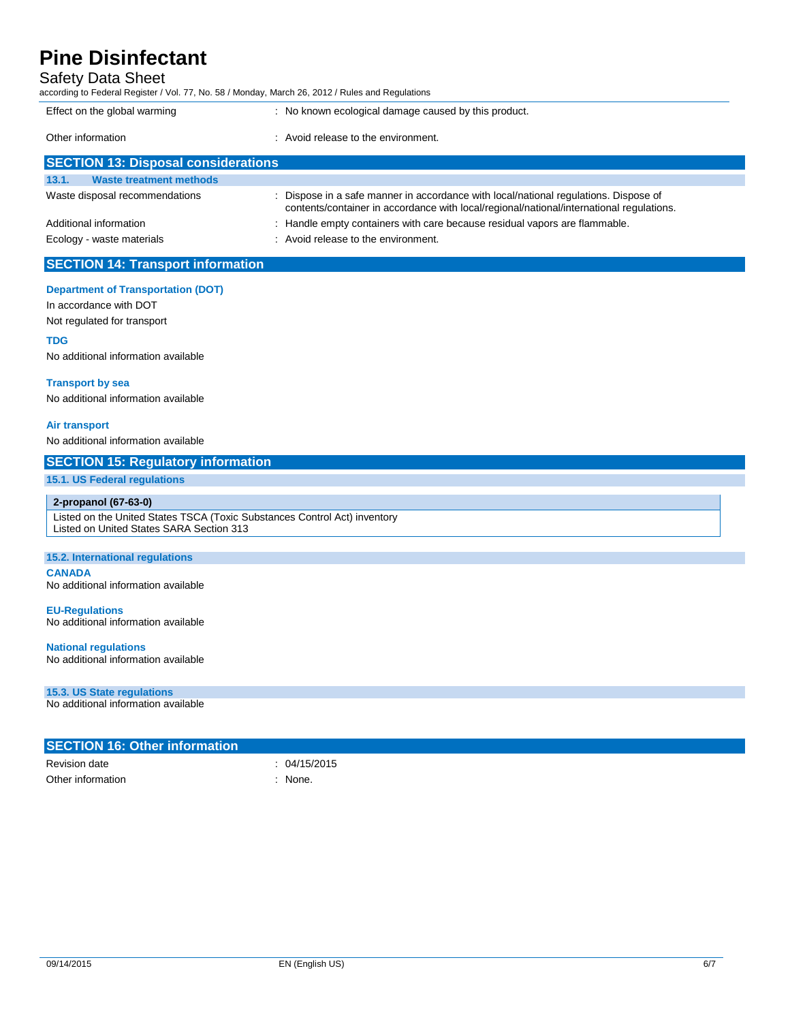## Safety Data Sheet

according to Federal Register / Vol. 77, No. 58 / Monday, March 26, 2012 / Rules and Regulations

| Effect on the global warming               | : No known ecological damage caused by this product.                                                                                                                             |
|--------------------------------------------|----------------------------------------------------------------------------------------------------------------------------------------------------------------------------------|
| Other information                          | : Avoid release to the environment.                                                                                                                                              |
| <b>SECTION 13: Disposal considerations</b> |                                                                                                                                                                                  |
| 13.1.<br><b>Waste treatment methods</b>    |                                                                                                                                                                                  |
| Waste disposal recommendations             | : Dispose in a safe manner in accordance with local/national regulations. Dispose of<br>contents/container in accordance with local/regional/national/international regulations. |
| Additional information                     | : Handle empty containers with care because residual vapors are flammable.                                                                                                       |
| Ecology - waste materials                  | : Avoid release to the environment.                                                                                                                                              |
| <b>SECTION 14: Transport information</b>   |                                                                                                                                                                                  |
| <b>Department of Transportation (DOT)</b>  |                                                                                                                                                                                  |
| In accordance with DOT                     |                                                                                                                                                                                  |
| Not regulated for transport                |                                                                                                                                                                                  |
| <b>TDG</b>                                 |                                                                                                                                                                                  |
| No additional information available        |                                                                                                                                                                                  |
|                                            |                                                                                                                                                                                  |

### **Transport by sea**

No additional information available

#### **Air transport**

No additional information available

### **SECTION 15: Regulatory information**

#### **15.1. US Federal regulations**

#### **2-propanol (67-63-0)**

Listed on the United States TSCA (Toxic Substances Control Act) inventory Listed on United States SARA Section 313

#### **15.2. International regulations**

**CANADA**

No additional information available

**EU-Regulations** No additional information available

#### **National regulations**

No additional information available

#### **15.3. US State regulations**

No additional information available

| <b>SECTION 16: Other information</b> |            |  |
|--------------------------------------|------------|--|
| Revision date                        | 04/15/2015 |  |
| Other information                    | None.      |  |